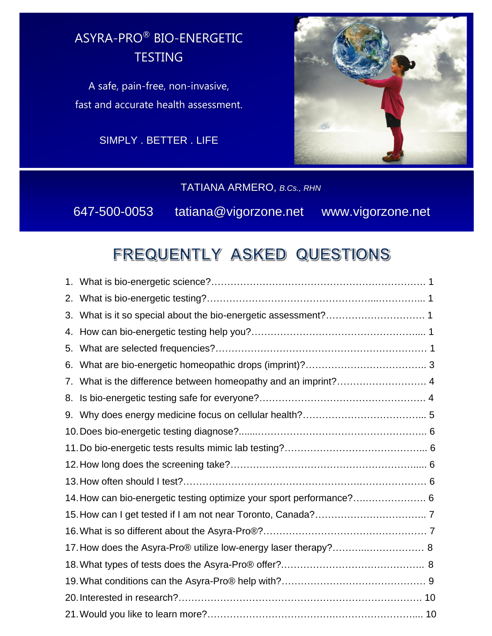## ASYRA-PRO® BIO-ENERGETIC **TESTING**

A safe, pain-free, non-invasive, fast and accurate health assessment.

SIMPLY . BETTER . LIFE



## TATIANA ARMERO, *B.Cs., RHN*

647-500-0053tatiana@vigorzone.netwww.vigorzone.net

# FREQUENTLY ASKED QUESTIONS

| 2. |                                                                      |  |
|----|----------------------------------------------------------------------|--|
| 3. |                                                                      |  |
| 4. |                                                                      |  |
| 5. |                                                                      |  |
| 6. |                                                                      |  |
| 7. | What is the difference between homeopathy and an imprint? 4          |  |
| 8. |                                                                      |  |
|    |                                                                      |  |
|    |                                                                      |  |
|    |                                                                      |  |
|    |                                                                      |  |
|    |                                                                      |  |
|    | 14. How can bio-energetic testing optimize your sport performance? 6 |  |
|    |                                                                      |  |
|    |                                                                      |  |
|    | 17. How does the Asyra-Pro® utilize low-energy laser therapy? 8      |  |
|    |                                                                      |  |
|    |                                                                      |  |
|    |                                                                      |  |
|    |                                                                      |  |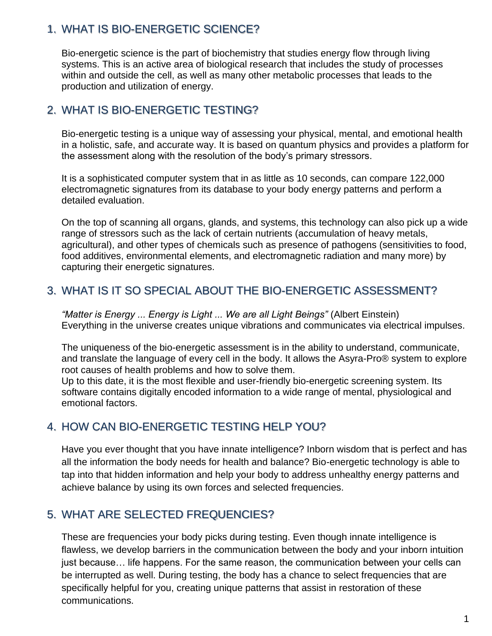### <span id="page-1-0"></span>1. WHAT IS BIO-ENERGETIC SCIENCE?

Bio-energetic science is the part of biochemistry that studies energy flow through living systems. This is an active area of biological research that includes the study of processes within and outside the cell, as well as many other metabolic processes that leads to the production and utilization of energy.

## <span id="page-1-1"></span>2. WHAT IS BIO-ENERGETIC TESTING?

Bio-energetic testing is a unique way of assessing your physical, mental, and emotional health in a holistic, safe, and accurate way. It is based on quantum physics and provides a platform for the assessment along with the resolution of the body's primary stressors.

It is a sophisticated computer system that in as little as 10 seconds, can compare 122,000 electromagnetic signatures from its database to your body energy patterns and perform a detailed evaluation.

On the top of scanning all organs, glands, and systems, this technology can also pick up a wide range of stressors such as the lack of certain nutrients (accumulation of heavy metals, agricultural), and other types of chemicals such as presence of pathogens (sensitivities to food, food additives, environmental elements, and electromagnetic radiation and many more) by capturing their energetic signatures.

#### <span id="page-1-2"></span>3. WHAT IS IT SO SPECIAL ABOUT THE BIO-ENERGETIC ASSESSMENT?

*"Matter is Energy ... Energy is Light ... We are all Light Beings"* (Albert Einstein) Everything in the universe creates unique vibrations and communicates via electrical impulses.

The uniqueness of the bio-energetic assessment is in the ability to understand, communicate, and translate the language of every cell in the body. It allows the Asyra-Pro® system to explore root causes of health problems and how to solve them.

<span id="page-1-3"></span>Up to this date, it is the most flexible and user-friendly bio-energetic screening system. Its software contains digitally encoded information to a wide range of mental, physiological and emotional factors.

## <span id="page-1-4"></span>4. HOW CAN BIO-ENERGETIC TESTING HELP YOU?

Have you ever thought that you have innate intelligence? Inborn wisdom that is perfect and has all the information the body needs for health and balance? Bio-energetic technology is able to tap into that hidden information and help your body to address unhealthy energy patterns and achieve balance by using its own forces and selected frequencies.

#### 5. WHAT ARE SELECTED FREQUENCIES?

These are frequencies your body picks during testing. Even though innate intelligence is flawless, we develop barriers in the communication between the body and your inborn intuition just because… life happens. For the same reason, the communication between your cells can be interrupted as well. During testing, the body has a chance to select frequencies that are specifically helpful for you, creating unique patterns that assist in restoration of these communications.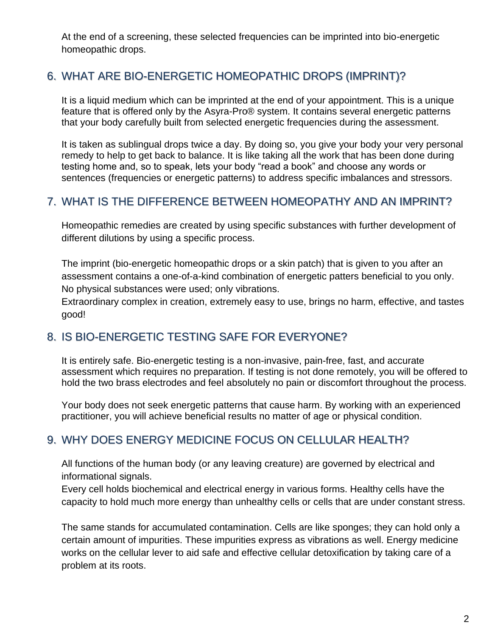At the end of a screening, these selected frequencies can be imprinted into bio-energetic homeopathic drops.

## <span id="page-2-0"></span>6. WHAT ARE BIO-ENERGETIC HOMEOPATHIC DROPS (IMPRINT)?

It is a liquid medium which can be imprinted at the end of your appointment. This is a unique feature that is offered only by the Asyra-Pro® system. It contains several energetic patterns that your body carefully built from selected energetic frequencies during the assessment.

<span id="page-2-1"></span>It is taken as sublingual drops twice a day. By doing so, you give your body your very personal remedy to help to get back to balance. It is like taking all the work that has been done during testing home and, so to speak, lets your body "read a book" and choose any words or sentences (frequencies or energetic patterns) to address specific imbalances and stressors.

## 7. WHAT IS THE DIFFERENCE BETWEEN HOMEOPATHY AND AN IMPRINT?

Homeopathic remedies are created by using specific substances with further development of different dilutions by using a specific process.

<span id="page-2-2"></span>The imprint (bio-energetic homeopathic drops or a skin patch) that is given to you after an assessment contains a one-of-a-kind combination of energetic patters beneficial to you only. No physical substances were used; only vibrations.

Extraordinary complex in creation, extremely easy to use, brings no harm, effective, and tastes good!

## 8. IS BIO-ENERGETIC TESTING SAFE FOR EVERYONE?

It is entirely safe. Bio-energetic testing is a non-invasive, pain-free, fast, and accurate assessment which requires no preparation. If testing is not done remotely, you will be offered to hold the two brass electrodes and feel absolutely no pain or discomfort throughout the process.

<span id="page-2-3"></span>Your body does not seek energetic patterns that cause harm. By working with an experienced practitioner, you will achieve beneficial results no matter of age or physical condition.

## 9. WHY DOES ENERGY MEDICINE FOCUS ON CELLULAR HEALTH?

All functions of the human body (or any leaving creature) are governed by electrical and informational signals.

Every cell holds biochemical and electrical energy in various forms. Healthy cells have the capacity to hold much more energy than unhealthy cells or cells that are under constant stress.

The same stands for accumulated contamination. Cells are like sponges; they can hold only a certain amount of impurities. These impurities express as vibrations as well. Energy medicine works on the cellular lever to aid safe and effective cellular detoxification by taking care of a problem at its roots.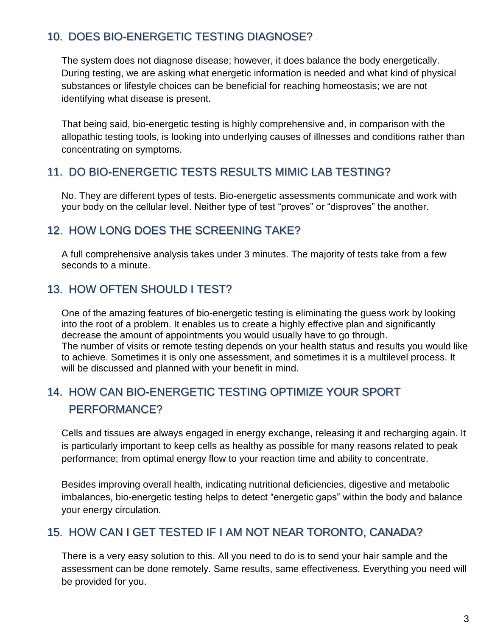## <span id="page-3-0"></span>10. DOES BIO-ENERGETIC TESTING DIAGNOSE?

The system does not diagnose disease; however, it does balance the body energetically. During testing, we are asking what energetic information is needed and what kind of physical substances or lifestyle choices can be beneficial for reaching homeostasis; we are not identifying what disease is present.

<span id="page-3-1"></span>That being said, bio-energetic testing is highly comprehensive and, in comparison with the allopathic testing tools, is looking into underlying causes of illnesses and conditions rather than concentrating on symptoms.

#### <span id="page-3-2"></span>11. DO BIO-ENERGETIC TESTS RESULTS MIMIC LAB TESTING?

No. They are different types of tests. Bio-energetic assessments communicate and work with your body on the cellular level. Neither type of test "proves" or "disproves" the another.

### <span id="page-3-3"></span>12. HOW LONG DOES THE SCREENING TAKE?

A full comprehensive analysis takes under 3 minutes. The majority of tests take from a few seconds to a minute.

## 13. HOW OFTEN SHOULD I TEST?

One of the amazing features of bio-energetic testing is eliminating the guess work by looking into the root of a problem. It enables us to create a highly effective plan and significantly decrease the amount of appointments you would usually have to go through. The number of visits or remote testing depends on your health status and results you would like to achieve. Sometimes it is only one assessment, and sometimes it is a multilevel process. It will be discussed and planned with your benefit in mind.

## <span id="page-3-4"></span>14. HOW CAN BIO-ENERGETIC TESTING OPTIMIZE YOUR SPORT PERFORMANCE?

Cells and tissues are always engaged in energy exchange, releasing it and recharging again. It is particularly important to keep cells as healthy as possible for many reasons related to peak performance; from optimal energy flow to your reaction time and ability to concentrate.

<span id="page-3-5"></span>Besides improving overall health, indicating nutritional deficiencies, digestive and metabolic imbalances, bio-energetic testing helps to detect "energetic gaps" within the body and balance your energy circulation.

#### 15. HOW CAN I GET TESTED IF I AM NOT NEAR TORONTO, CANADA?

There is a very easy solution to this. All you need to do is to send your hair sample and the assessment can be done remotely. Same results, same effectiveness. Everything you need will be provided for you.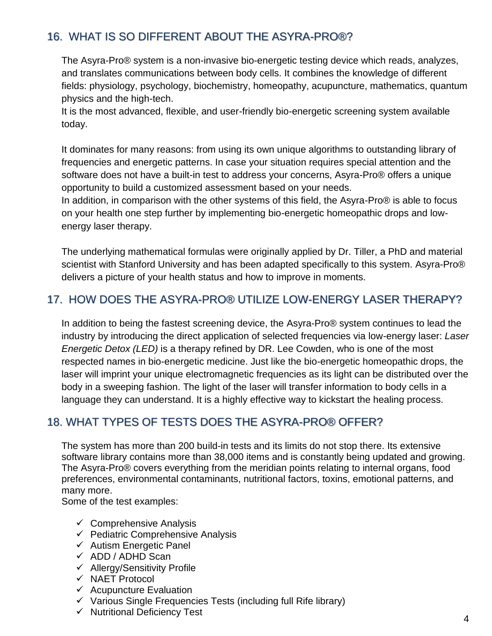## <span id="page-4-0"></span>16. WHAT IS SO DIFFERENT ABOUT THE ASYRA-PRO®?

The Asyra-Pro® system is a non-invasive bio-energetic testing device which reads, analyzes, and translates communications between body cells. It combines the knowledge of different fields: physiology, psychology, biochemistry, homeopathy, acupuncture, mathematics, quantum physics and the high-tech.

It is the most advanced, flexible, and user-friendly bio-energetic screening system available today.

It dominates for many reasons: from using its own unique algorithms to outstanding library of frequencies and energetic patterns. In case your situation requires special attention and the software does not have a built-in test to address your concerns, Asyra-Pro® offers a unique opportunity to build a customized assessment based on your needs.

In addition, in comparison with the other systems of this field, the Asyra-Pro® is able to focus on your health one step further by implementing bio-energetic homeopathic drops and lowenergy laser therapy.

<span id="page-4-1"></span>The underlying mathematical formulas were originally applied by Dr. Tiller, a PhD and material scientist with Stanford University and has been adapted specifically to this system. Asyra-Pro<sup>®</sup> delivers a picture of your health status and how to improve in moments.

### 17. HOW DOES THE ASYRA-PRO® UTILIZE LOW-ENERGY LASER THERAPY?

In addition to being the fastest screening device, the Asyra-Pro® system continues to lead the industry by introducing the direct application of selected frequencies via low-energy laser: *Laser Energetic Detox (LED)* is a therapy refined by DR. Lee Cowden, who is one of the most respected names in bio-energetic medicine. Just like the bio-energetic homeopathic drops, the laser will imprint your unique electromagnetic frequencies as its light can be distributed over the body in a sweeping fashion. The light of the laser will transfer information to body cells in a language they can understand. It is a highly effective way to kickstart the healing process.

## <span id="page-4-2"></span>18. WHAT TYPES OF TESTS DOES THE ASYRA-PRO® OFFER?

The system has more than 200 build-in tests and its limits do not stop there. Its extensive software library contains more than 38,000 items and is constantly being updated and growing. The Asyra-Pro® covers everything from the meridian points relating to internal organs, food preferences, environmental contaminants, nutritional factors, toxins, emotional patterns, and many more.

Some of the test examples:

- $\checkmark$  Comprehensive Analysis
- $\checkmark$  Pediatric Comprehensive Analysis
- $\checkmark$  Autism Energetic Panel
- ✓ ADD / ADHD Scan
- ✓ Allergy/Sensitivity Profile
- ✓ NAET Protocol
- $\checkmark$  Acupuncture Evaluation
- $\checkmark$  Various Single Frequencies Tests (including full Rife library)
- ✓ Nutritional Deficiency Test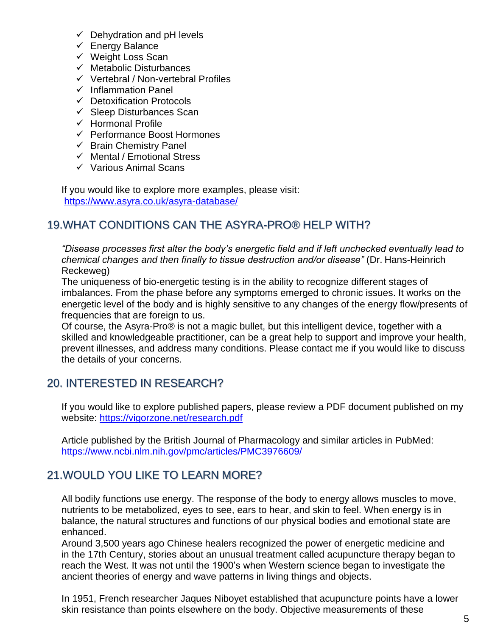- $\checkmark$  Dehydration and pH levels
- ✓ Energy Balance
- ✓ Weight Loss Scan
- $\checkmark$  Metabolic Disturbances
- ✓ Vertebral / Non-vertebral Profiles
- ✓ Inflammation Panel
- ✓ Detoxification Protocols
- $\checkmark$  Sleep Disturbances Scan
- ✓ Hormonal Profile
- ✓ Performance Boost Hormones
- $\checkmark$  Brain Chemistry Panel
- ✓ Mental / Emotional Stress
- ✓ Various Animal Scans

<span id="page-5-0"></span> <https://www.asyra.co.uk/asyra-database/> If you would like to explore more examples, please visit:

### 19.WHAT CONDITIONS CAN THE ASYRA-PRO® HELP WITH?

*"Disease processes first alter the body's energetic field and if left unchecked eventually lead to chemical changes and then finally to tissue destruction and/or disease"* (Dr. Hans-Heinrich Reckeweg)

The uniqueness of bio-energetic testing is in the ability to recognize different stages of imbalances. From the phase before any symptoms emerged to chronic issues. It works on the energetic level of the body and is highly sensitive to any changes of the energy flow/presents of frequencies that are foreign to us.

Of course, the Asyra-Pro® is not a magic bullet, but this intelligent device, together with a skilled and knowledgeable practitioner, can be a great help to support and improve your health, prevent illnesses, and address many conditions. Please contact me if you would like to discuss the details of your concerns.

## <span id="page-5-1"></span>20. INTERESTED IN RESEARCH?

If you would like to explore published papers, please review a PDF document published on my website: <https://vigorzone.net/research.pdf>

Article published by the British Journal of Pharmacology and similar articles in PubMed: <https://www.ncbi.nlm.nih.gov/pmc/articles/PMC3976609/>

## <span id="page-5-2"></span>21.WOULD YOU LIKE TO LEARN MORE?

All bodily functions use energy. The response of the body to energy allows muscles to move, nutrients to be metabolized, eyes to see, ears to hear, and skin to feel. When energy is in balance, the natural structures and functions of our physical bodies and emotional state are enhanced.

Around 3,500 years ago Chinese healers recognized the power of energetic medicine and in the 17th Century, stories about an unusual treatment called acupuncture therapy began to reach the West. It was not until the 1900's when Western science began to investigate the ancient theories of energy and wave patterns in living things and objects.

In 1951, French researcher Jaques Niboyet established that acupuncture points have a lower skin resistance than points elsewhere on the body. Objective measurements of these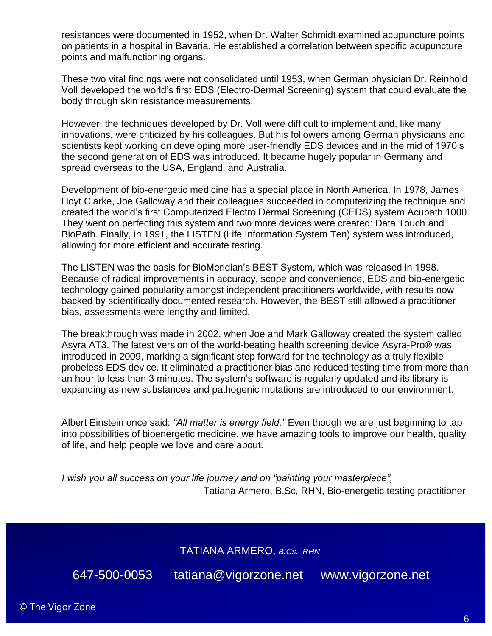resistances were documented in 1952, when Dr. Walter Schmidt examined acupuncture points on patients in a hospital in Bavaria. He established a correlation between specific acupuncture points and malfunctioning organs.

These two vital findings were not consolidated until 1953, when German physician Dr. Reinhold Voll developed the world's first EDS (Electro-Dermal Screening) system that could evaluate the body through skin resistance measurements.

However, the techniques developed by Dr. Voll were difficult to implement and, like many innovations, were criticized by his colleagues. But his followers among German physicians and scientists kept working on developing more user-friendly EDS devices and in the mid of 1970's the second generation of EDS was introduced. It became hugely popular in Germany and spread overseas to the USA, England, and Australia.

Development of bio-energetic medicine has a special place in North America. In 1978, James Hoyt Clarke, Joe Galloway and their colleagues succeeded in computerizing the technique and created the world's first Computerized Electro Dermal Screening (CEDS) system Acupath 1000. They went on perfecting this system and two more devices were created: Data Touch and BioPath. Finally, in 1991, the LISTEN (Life Information System Ten) system was introduced, allowing for more efficient and accurate testing.

The LISTEN was the basis for BioMeridian's BEST System, which was released in 1998. Because of radical improvements in accuracy, scope and convenience, EDS and bio-energetic technology gained popularity amongst independent practitioners worldwide, with results now backed by scientifically documented research. However, the BEST still allowed a practitioner bias, assessments were lengthy and limited.

The breakthrough was made in 2002, when Joe and Mark Galloway created the system called Asyra AT3. The latest version of the world-beating health screening device Asyra-Pro® was introduced in 2009, marking a significant step forward for the technology as a truly flexible probeless EDS device. It eliminated a practitioner bias and reduced testing time from more than an hour to less than 3 minutes. The system's software is regularly updated and its library is expanding as new substances and pathogenic mutations are introduced to our environment.

Albert Einstein once said: *"All matter is energy field."* Even though we are just beginning to tap into possibilities of bioenergetic medicine, we have amazing tools to improve our health, quality of life, and help people we love and care about.

*I wish you all success on your life journey and on "painting your masterpiece",* Tatiana Armero, B.Sc, RHN, Bio-energetic testing practitioner

TATIANA ARMERO, *B.Cs., RHN* 

647-500-0053tatiana@vigorzone.netwww.vigorzone.net

© The Vigor Zone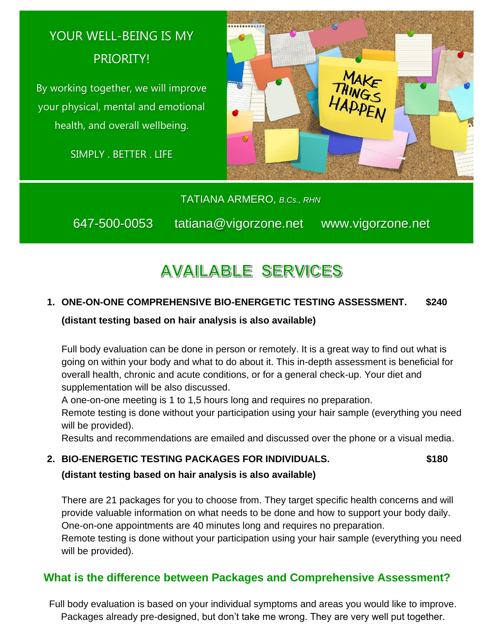# YOUR WELL-BEING IS MY PRIORITY!

By working together, we will improve your physical, mental and emotional health, and overall wellbeing.

SIMPLY . BETTER . LIFE



TATIANA ARMERO, *B.Cs., RHN* 

647-500-0053tatiana@vigorzone.netwww.vigorzone.net

# **AVAILABLE SERVICES**

#### **1. ONE-ON-ONE COMPREHENSIVE BIO-ENERGETIC TESTING ASSESSMENT. \$240**

#### **(distant testing based on hair analysis is also available)**

Full body evaluation can be done in person or remotely. It is a great way to find out what is going on within your body and what to do about it. This in-depth assessment is beneficial for overall health, chronic and acute conditions, or for a general check-up. Your diet and supplementation will be also discussed.

A one-on-one meeting is 1 to 1,5 hours long and requires no preparation.

Remote testing is done without your participation using your hair sample (everything you need will be provided).

Results and recommendations are emailed and discussed over the phone or a visual media.

#### **2. BIO-ENERGETIC TESTING PACKAGES FOR INDIVIDUALS. \$180**

**(distant testing based on hair analysis is also available)**

There are 21 packages for you to choose from. They target specific health concerns and will provide valuable information on what needs to be done and how to support your body daily. One-on-one appointments are 40 minutes long and requires no preparation.

Remote testing is done without your participation using your hair sample (everything you need will be provided).

## **What is the difference between Packages and Comprehensive Assessment?**

Full body evaluation is based on your individual symptoms and areas you would like to improve. Packages already pre-designed, but don't take me wrong. They are very well put together.